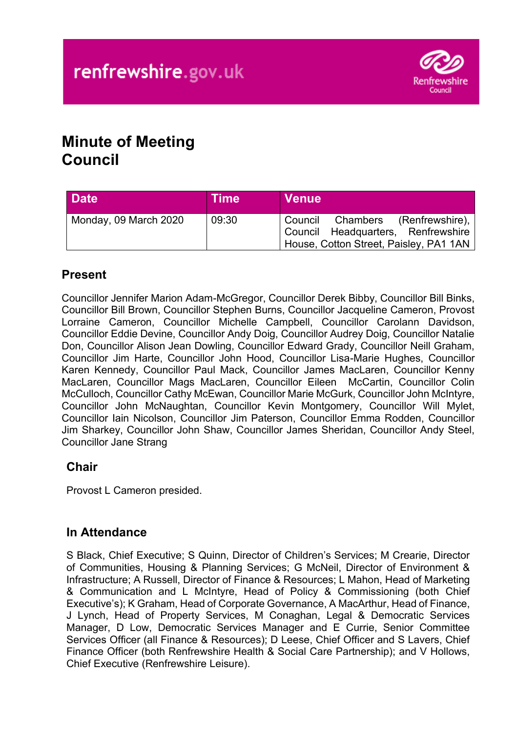

# **Minute of Meeting Council**

| <b>Date</b>           | <b>Time</b> | <b>Venue</b>                                                                                                     |
|-----------------------|-------------|------------------------------------------------------------------------------------------------------------------|
| Monday, 09 March 2020 | 09:30       | Council Chambers (Renfrewshire),<br>Council Headquarters, Renfrewshire<br>House, Cotton Street, Paisley, PA1 1AN |

# **Present**

Councillor Jennifer Marion Adam-McGregor, Councillor Derek Bibby, Councillor Bill Binks, Councillor Bill Brown, Councillor Stephen Burns, Councillor Jacqueline Cameron, Provost Lorraine Cameron, Councillor Michelle Campbell, Councillor Carolann Davidson, Councillor Eddie Devine, Councillor Andy Doig, Councillor Audrey Doig, Councillor Natalie Don, Councillor Alison Jean Dowling, Councillor Edward Grady, Councillor Neill Graham, Councillor Jim Harte, Councillor John Hood, Councillor Lisa-Marie Hughes, Councillor Karen Kennedy, Councillor Paul Mack, Councillor James MacLaren, Councillor Kenny MacLaren, Councillor Mags MacLaren, Councillor Eileen McCartin, Councillor Colin McCulloch, Councillor Cathy McEwan, Councillor Marie McGurk, Councillor John McIntyre, Councillor John McNaughtan, Councillor Kevin Montgomery, Councillor Will Mylet, Councillor Iain Nicolson, Councillor Jim Paterson, Councillor Emma Rodden, Councillor Jim Sharkey, Councillor John Shaw, Councillor James Sheridan, Councillor Andy Steel, Councillor Jane Strang

### **Chair**

Provost L Cameron presided.

# **In Attendance**

S Black, Chief Executive; S Quinn, Director of Children's Services; M Crearie, Director of Communities, Housing & Planning Services; G McNeil, Director of Environment & Infrastructure; A Russell, Director of Finance & Resources; L Mahon, Head of Marketing & Communication and L McIntyre, Head of Policy & Commissioning (both Chief Executive's); K Graham, Head of Corporate Governance, A MacArthur, Head of Finance, J Lynch, Head of Property Services, M Conaghan, Legal & Democratic Services Manager, D Low, Democratic Services Manager and E Currie, Senior Committee Services Officer (all Finance & Resources); D Leese, Chief Officer and S Lavers, Chief Finance Officer (both Renfrewshire Health & Social Care Partnership); and V Hollows, Chief Executive (Renfrewshire Leisure).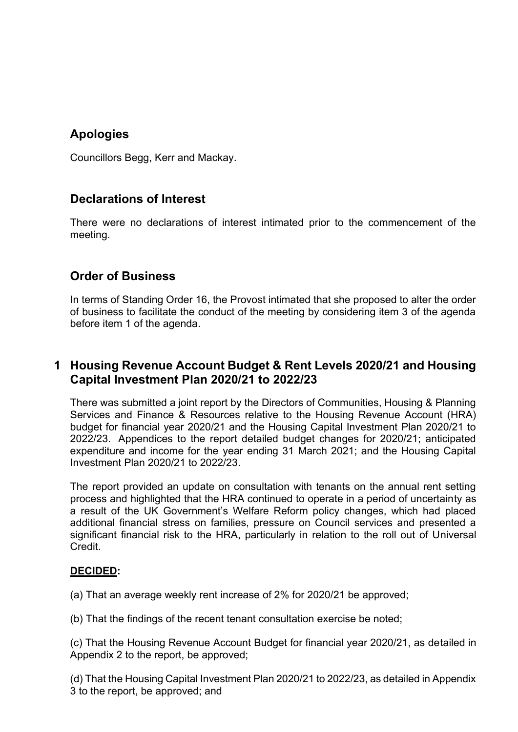# **Apologies**

Councillors Begg, Kerr and Mackay.

# **Declarations of Interest**

There were no declarations of interest intimated prior to the commencement of the meeting.

# **Order of Business**

In terms of Standing Order 16, the Provost intimated that she proposed to alter the order of business to facilitate the conduct of the meeting by considering item 3 of the agenda before item 1 of the agenda.

# **1 Housing Revenue Account Budget & Rent Levels 2020/21 and Housing Capital Investment Plan 2020/21 to 2022/23**

There was submitted a joint report by the Directors of Communities, Housing & Planning Services and Finance & Resources relative to the Housing Revenue Account (HRA) budget for financial year 2020/21 and the Housing Capital Investment Plan 2020/21 to 2022/23. Appendices to the report detailed budget changes for 2020/21; anticipated expenditure and income for the year ending 31 March 2021; and the Housing Capital Investment Plan 2020/21 to 2022/23.

The report provided an update on consultation with tenants on the annual rent setting process and highlighted that the HRA continued to operate in a period of uncertainty as a result of the UK Government's Welfare Reform policy changes, which had placed additional financial stress on families, pressure on Council services and presented a significant financial risk to the HRA, particularly in relation to the roll out of Universal Credit.

### **DECIDED:**

(a) That an average weekly rent increase of 2% for 2020/21 be approved;

(b) That the findings of the recent tenant consultation exercise be noted;

(c) That the Housing Revenue Account Budget for financial year 2020/21, as detailed in Appendix 2 to the report, be approved;

(d) That the Housing Capital Investment Plan 2020/21 to 2022/23, as detailed in Appendix 3 to the report, be approved; and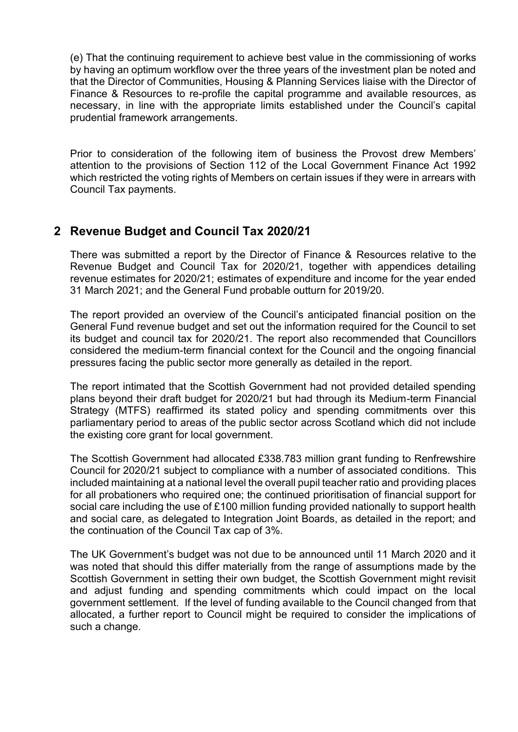(e) That the continuing requirement to achieve best value in the commissioning of works by having an optimum workflow over the three years of the investment plan be noted and that the Director of Communities, Housing & Planning Services liaise with the Director of Finance & Resources to re-profile the capital programme and available resources, as necessary, in line with the appropriate limits established under the Council's capital prudential framework arrangements.

Prior to consideration of the following item of business the Provost drew Members' attention to the provisions of Section 112 of the Local Government Finance Act 1992 which restricted the voting rights of Members on certain issues if they were in arrears with Council Tax payments.

# **2 Revenue Budget and Council Tax 2020/21**

There was submitted a report by the Director of Finance & Resources relative to the Revenue Budget and Council Tax for 2020/21, together with appendices detailing revenue estimates for 2020/21; estimates of expenditure and income for the year ended 31 March 2021; and the General Fund probable outturn for 2019/20.

The report provided an overview of the Council's anticipated financial position on the General Fund revenue budget and set out the information required for the Council to set its budget and council tax for 2020/21. The report also recommended that Councillors considered the medium-term financial context for the Council and the ongoing financial pressures facing the public sector more generally as detailed in the report.

The report intimated that the Scottish Government had not provided detailed spending plans beyond their draft budget for 2020/21 but had through its Medium-term Financial Strategy (MTFS) reaffirmed its stated policy and spending commitments over this parliamentary period to areas of the public sector across Scotland which did not include the existing core grant for local government.

The Scottish Government had allocated £338.783 million grant funding to Renfrewshire Council for 2020/21 subject to compliance with a number of associated conditions. This included maintaining at a national level the overall pupil teacher ratio and providing places for all probationers who required one; the continued prioritisation of financial support for social care including the use of £100 million funding provided nationally to support health and social care, as delegated to Integration Joint Boards, as detailed in the report; and the continuation of the Council Tax cap of 3%.

The UK Government's budget was not due to be announced until 11 March 2020 and it was noted that should this differ materially from the range of assumptions made by the Scottish Government in setting their own budget, the Scottish Government might revisit and adjust funding and spending commitments which could impact on the local government settlement. If the level of funding available to the Council changed from that allocated, a further report to Council might be required to consider the implications of such a change.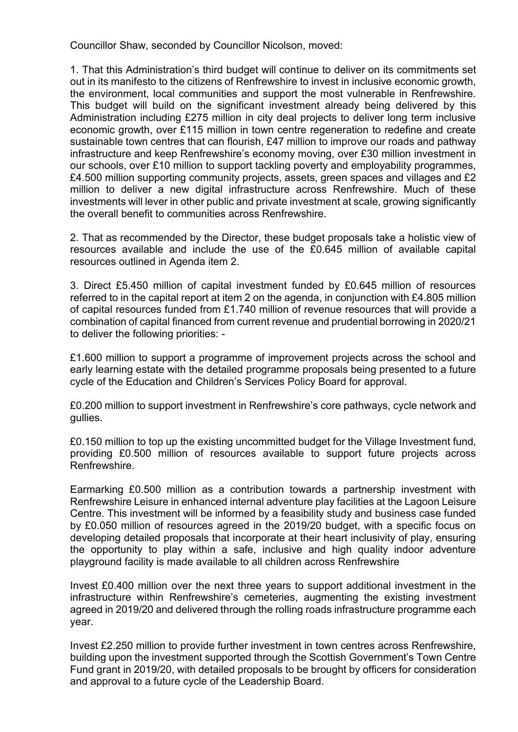Councillor Shaw, seconded by Councillor Nicolson, moved:

1. That this Administration's third budget will continue to deliver on its commitments set out in its manifesto to the citizens of Renfrewshire to invest in inclusive economic growth, the environment, local communities and support the most vulnerable in Renfrewshire. This budget will build on the significant investment already being delivered by this Administration including £275 million in city deal projects to deliver long term inclusive economic growth, over £115 million in town centre regeneration to redefine and create sustainable town centres that can flourish, £47 million to improve our roads and pathway infrastructure and keep Renfrewshire's economy moving, over £30 million investment in our schools, over £10 million to support tackling poverty and employability programmes, £4.500 million supporting community projects, assets, green spaces and villages and £2 million to deliver a new digital infrastructure across Renfrewshire. Much of these investments will lever in other public and private investment at scale, growing significantly the overall benefit to communities across Renfrewshire.

2. That as recommended by the Director, these budget proposals take a holistic view of resources available and include the use of the £0.645 million of available capital resources outlined in Agenda item 2.

3. Direct £5.450 million of capital investment funded by £0.645 million of resources referred to in the capital report at item 2 on the agenda, in conjunction with £4.805 million of capital resources funded from £1.740 million of revenue resources that will provide a combination of capital financed from current revenue and prudential borrowing in 2020/21 to deliver the following priorities: -

£1.600 million to support a programme of improvement projects across the school and early learning estate with the detailed programme proposals being presented to a future cycle of the Education and Children's Services Policy Board for approval.

£0.200 million to support investment in Renfrewshire's core pathways, cycle network and gullies.

£0.150 million to top up the existing uncommitted budget for the Village Investment fund, providing £0.500 million of resources available to support future projects across Renfrewshire.

Earmarking £0.500 million as a contribution towards a partnership investment with Renfrewshire Leisure in enhanced internal adventure play facilities at the Lagoon Leisure Centre. This investment will be informed by a feasibility study and business case funded by £0.050 million of resources agreed in the 2019/20 budget, with a specific focus on developing detailed proposals that incorporate at their heart inclusivity of play, ensuring the opportunity to play within a safe, inclusive and high quality indoor adventure playground facility is made available to all children across Renfrewshire

Invest £0.400 million over the next three years to support additional investment in the infrastructure within Renfrewshire's cemeteries, augmenting the existing investment agreed in 2019/20 and delivered through the rolling roads infrastructure programme each year.

Invest £2.250 million to provide further investment in town centres across Renfrewshire, building upon the investment supported through the Scottish Government's Town Centre Fund grant in 2019/20, with detailed proposals to be brought by officers for consideration and approval to a future cycle of the Leadership Board.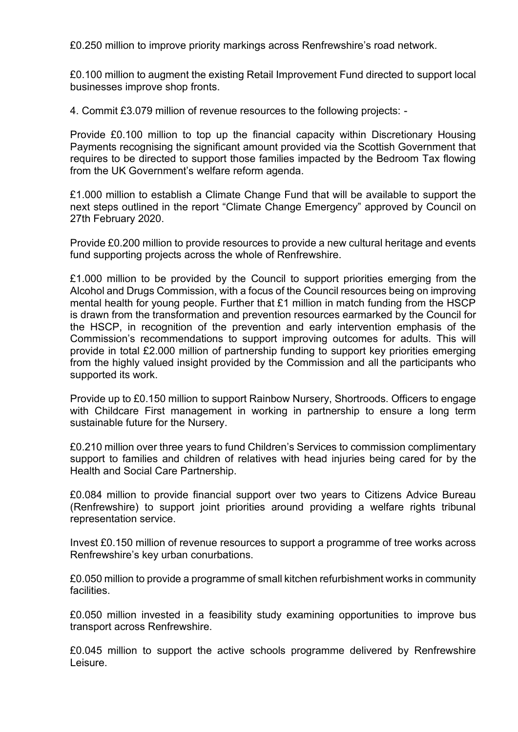£0.250 million to improve priority markings across Renfrewshire's road network.

£0.100 million to augment the existing Retail Improvement Fund directed to support local businesses improve shop fronts.

4. Commit £3.079 million of revenue resources to the following projects: -

Provide £0.100 million to top up the financial capacity within Discretionary Housing Payments recognising the significant amount provided via the Scottish Government that requires to be directed to support those families impacted by the Bedroom Tax flowing from the UK Government's welfare reform agenda.

£1.000 million to establish a Climate Change Fund that will be available to support the next steps outlined in the report "Climate Change Emergency" approved by Council on 27th February 2020.

Provide £0.200 million to provide resources to provide a new cultural heritage and events fund supporting projects across the whole of Renfrewshire.

£1.000 million to be provided by the Council to support priorities emerging from the Alcohol and Drugs Commission, with a focus of the Council resources being on improving mental health for young people. Further that £1 million in match funding from the HSCP is drawn from the transformation and prevention resources earmarked by the Council for the HSCP, in recognition of the prevention and early intervention emphasis of the Commission's recommendations to support improving outcomes for adults. This will provide in total £2.000 million of partnership funding to support key priorities emerging from the highly valued insight provided by the Commission and all the participants who supported its work.

Provide up to £0.150 million to support Rainbow Nursery, Shortroods. Officers to engage with Childcare First management in working in partnership to ensure a long term sustainable future for the Nursery.

£0.210 million over three years to fund Children's Services to commission complimentary support to families and children of relatives with head injuries being cared for by the Health and Social Care Partnership.

£0.084 million to provide financial support over two years to Citizens Advice Bureau (Renfrewshire) to support joint priorities around providing a welfare rights tribunal representation service.

Invest £0.150 million of revenue resources to support a programme of tree works across Renfrewshire's key urban conurbations.

£0.050 million to provide a programme of small kitchen refurbishment works in community **facilities** 

£0.050 million invested in a feasibility study examining opportunities to improve bus transport across Renfrewshire.

£0.045 million to support the active schools programme delivered by Renfrewshire Leisure.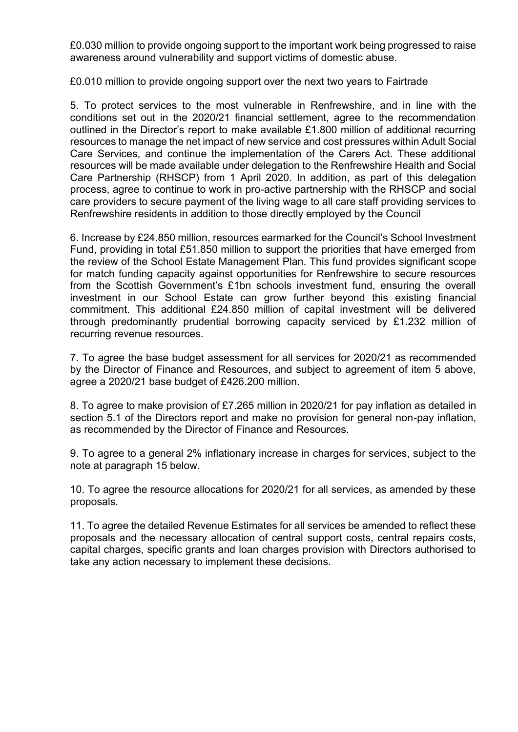£0.030 million to provide ongoing support to the important work being progressed to raise awareness around vulnerability and support victims of domestic abuse.

£0.010 million to provide ongoing support over the next two years to Fairtrade

5. To protect services to the most vulnerable in Renfrewshire, and in line with the conditions set out in the 2020/21 financial settlement, agree to the recommendation outlined in the Director's report to make available £1.800 million of additional recurring resources to manage the net impact of new service and cost pressures within Adult Social Care Services, and continue the implementation of the Carers Act. These additional resources will be made available under delegation to the Renfrewshire Health and Social Care Partnership (RHSCP) from 1 April 2020. In addition, as part of this delegation process, agree to continue to work in pro-active partnership with the RHSCP and social care providers to secure payment of the living wage to all care staff providing services to Renfrewshire residents in addition to those directly employed by the Council

6. Increase by £24.850 million, resources earmarked for the Council's School Investment Fund, providing in total £51.850 million to support the priorities that have emerged from the review of the School Estate Management Plan. This fund provides significant scope for match funding capacity against opportunities for Renfrewshire to secure resources from the Scottish Government's £1bn schools investment fund, ensuring the overall investment in our School Estate can grow further beyond this existing financial commitment. This additional £24.850 million of capital investment will be delivered through predominantly prudential borrowing capacity serviced by £1.232 million of recurring revenue resources.

7. To agree the base budget assessment for all services for 2020/21 as recommended by the Director of Finance and Resources, and subject to agreement of item 5 above, agree a 2020/21 base budget of £426.200 million.

8. To agree to make provision of £7.265 million in 2020/21 for pay inflation as detailed in section 5.1 of the Directors report and make no provision for general non-pay inflation, as recommended by the Director of Finance and Resources.

9. To agree to a general 2% inflationary increase in charges for services, subject to the note at paragraph 15 below.

10. To agree the resource allocations for 2020/21 for all services, as amended by these proposals.

11. To agree the detailed Revenue Estimates for all services be amended to reflect these proposals and the necessary allocation of central support costs, central repairs costs, capital charges, specific grants and loan charges provision with Directors authorised to take any action necessary to implement these decisions.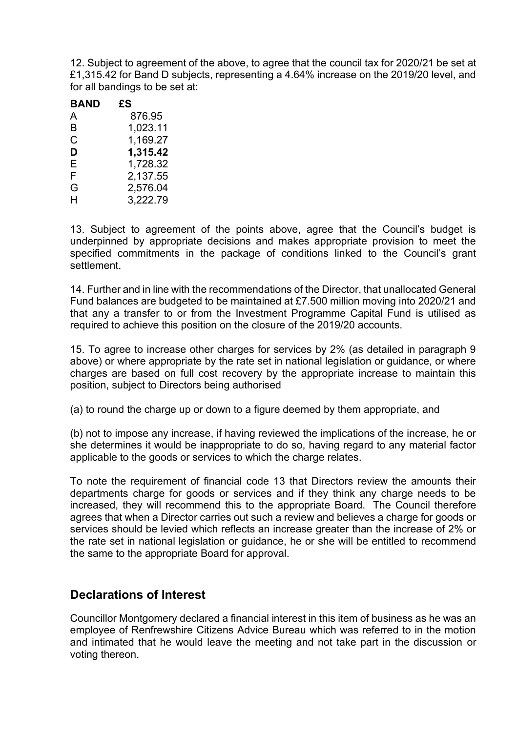12. Subject to agreement of the above, to agree that the council tax for 2020/21 be set at £1,315.42 for Band D subjects, representing a 4.64% increase on the 2019/20 level, and for all bandings to be set at:

#### **BAND £S**

| A | 876.95   |
|---|----------|
| в | 1,023.11 |
| C | 1,169.27 |
| D | 1,315.42 |
| Е | 1,728.32 |
| F | 2,137.55 |
| G | 2,576.04 |
| н | 3,222.79 |

13. Subject to agreement of the points above, agree that the Council's budget is underpinned by appropriate decisions and makes appropriate provision to meet the specified commitments in the package of conditions linked to the Council's grant settlement.

14. Further and in line with the recommendations of the Director, that unallocated General Fund balances are budgeted to be maintained at £7.500 million moving into 2020/21 and that any a transfer to or from the Investment Programme Capital Fund is utilised as required to achieve this position on the closure of the 2019/20 accounts.

15. To agree to increase other charges for services by 2% (as detailed in paragraph 9 above) or where appropriate by the rate set in national legislation or guidance, or where charges are based on full cost recovery by the appropriate increase to maintain this position, subject to Directors being authorised

(a) to round the charge up or down to a figure deemed by them appropriate, and

(b) not to impose any increase, if having reviewed the implications of the increase, he or she determines it would be inappropriate to do so, having regard to any material factor applicable to the goods or services to which the charge relates.

To note the requirement of financial code 13 that Directors review the amounts their departments charge for goods or services and if they think any charge needs to be increased, they will recommend this to the appropriate Board. The Council therefore agrees that when a Director carries out such a review and believes a charge for goods or services should be levied which reflects an increase greater than the increase of 2% or the rate set in national legislation or guidance, he or she will be entitled to recommend the same to the appropriate Board for approval.

### **Declarations of Interest**

Councillor Montgomery declared a financial interest in this item of business as he was an employee of Renfrewshire Citizens Advice Bureau which was referred to in the motion and intimated that he would leave the meeting and not take part in the discussion or voting thereon.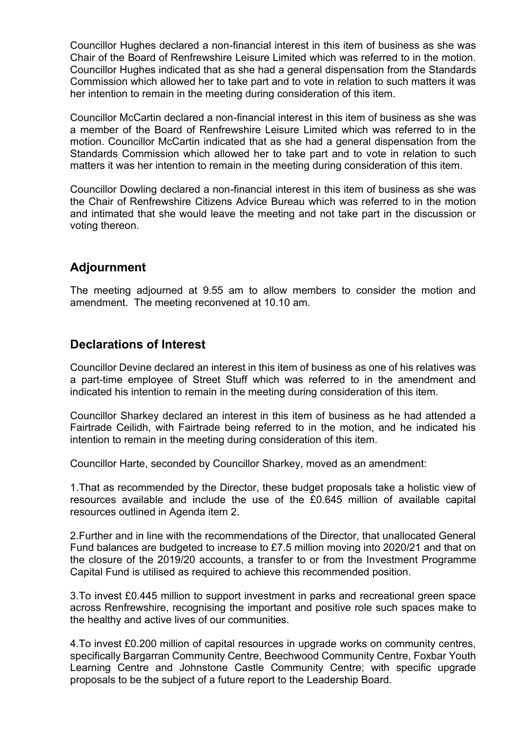Councillor Hughes declared a non-financial interest in this item of business as she was Chair of the Board of Renfrewshire Leisure Limited which was referred to in the motion. Councillor Hughes indicated that as she had a general dispensation from the Standards Commission which allowed her to take part and to vote in relation to such matters it was her intention to remain in the meeting during consideration of this item.

Councillor McCartin declared a non-financial interest in this item of business as she was a member of the Board of Renfrewshire Leisure Limited which was referred to in the motion. Councillor McCartin indicated that as she had a general dispensation from the Standards Commission which allowed her to take part and to vote in relation to such matters it was her intention to remain in the meeting during consideration of this item.

Councillor Dowling declared a non-financial interest in this item of business as she was the Chair of Renfrewshire Citizens Advice Bureau which was referred to in the motion and intimated that she would leave the meeting and not take part in the discussion or voting thereon.

# **Adjournment**

The meeting adjourned at 9.55 am to allow members to consider the motion and amendment. The meeting reconvened at 10.10 am.

# **Declarations of Interest**

Councillor Devine declared an interest in this item of business as one of his relatives was a part-time employee of Street Stuff which was referred to in the amendment and indicated his intention to remain in the meeting during consideration of this item.

Councillor Sharkey declared an interest in this item of business as he had attended a Fairtrade Ceilidh, with Fairtrade being referred to in the motion, and he indicated his intention to remain in the meeting during consideration of this item.

Councillor Harte, seconded by Councillor Sharkey, moved as an amendment:

1.That as recommended by the Director, these budget proposals take a holistic view of resources available and include the use of the £0.645 million of available capital resources outlined in Agenda item 2.

2.Further and in line with the recommendations of the Director, that unallocated General Fund balances are budgeted to increase to £7.5 million moving into 2020/21 and that on the closure of the 2019/20 accounts, a transfer to or from the Investment Programme Capital Fund is utilised as required to achieve this recommended position.

3.To invest £0.445 million to support investment in parks and recreational green space across Renfrewshire, recognising the important and positive role such spaces make to the healthy and active lives of our communities.

4.To invest £0.200 million of capital resources in upgrade works on community centres, specifically Bargarran Community Centre, Beechwood Community Centre, Foxbar Youth Learning Centre and Johnstone Castle Community Centre; with specific upgrade proposals to be the subject of a future report to the Leadership Board.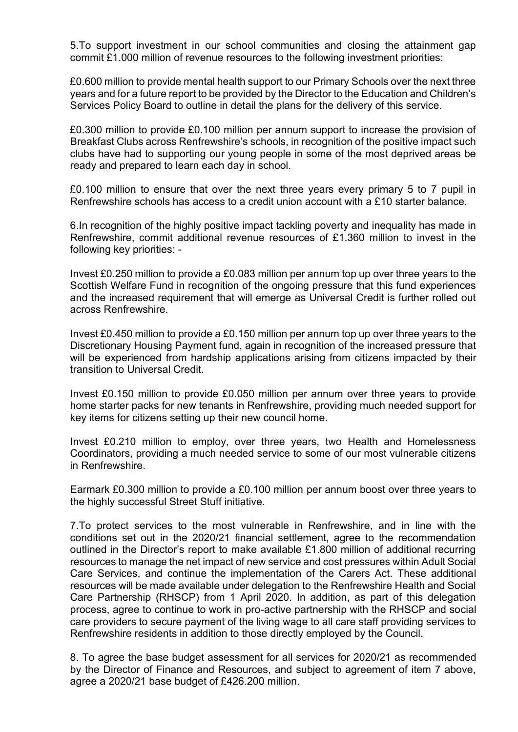5.To support investment in our school communities and closing the attainment gap commit £1.000 million of revenue resources to the following investment priorities:

£0.600 million to provide mental health support to our Primary Schools over the next three years and for a future report to be provided by the Director to the Education and Children's Services Policy Board to outline in detail the plans for the delivery of this service.

£0.300 million to provide £0.100 million per annum support to increase the provision of Breakfast Clubs across Renfrewshire's schools, in recognition of the positive impact such clubs have had to supporting our young people in some of the most deprived areas be ready and prepared to learn each day in school.

£0.100 million to ensure that over the next three years every primary 5 to 7 pupil in Renfrewshire schools has access to a credit union account with a £10 starter balance.

6.In recognition of the highly positive impact tackling poverty and inequality has made in Renfrewshire, commit additional revenue resources of £1.360 million to invest in the following key priorities: -

Invest £0.250 million to provide a £0.083 million per annum top up over three years to the Scottish Welfare Fund in recognition of the ongoing pressure that this fund experiences and the increased requirement that will emerge as Universal Credit is further rolled out across Renfrewshire.

Invest £0.450 million to provide a £0.150 million per annum top up over three years to the Discretionary Housing Payment fund, again in recognition of the increased pressure that will be experienced from hardship applications arising from citizens impacted by their transition to Universal Credit.

Invest £0.150 million to provide £0.050 million per annum over three years to provide home starter packs for new tenants in Renfrewshire, providing much needed support for key items for citizens setting up their new council home.

Invest £0.210 million to employ, over three years, two Health and Homelessness Coordinators, providing a much needed service to some of our most vulnerable citizens in Renfrewshire.

Earmark £0.300 million to provide a £0.100 million per annum boost over three years to the highly successful Street Stuff initiative.

7.To protect services to the most vulnerable in Renfrewshire, and in line with the conditions set out in the 2020/21 financial settlement, agree to the recommendation outlined in the Director's report to make available £1.800 million of additional recurring resources to manage the net impact of new service and cost pressures within Adult Social Care Services, and continue the implementation of the Carers Act. These additional resources will be made available under delegation to the Renfrewshire Health and Social Care Partnership (RHSCP) from 1 April 2020. In addition, as part of this delegation process, agree to continue to work in pro-active partnership with the RHSCP and social care providers to secure payment of the living wage to all care staff providing services to Renfrewshire residents in addition to those directly employed by the Council.

8. To agree the base budget assessment for all services for 2020/21 as recommended by the Director of Finance and Resources, and subject to agreement of item 7 above, agree a 2020/21 base budget of £426.200 million.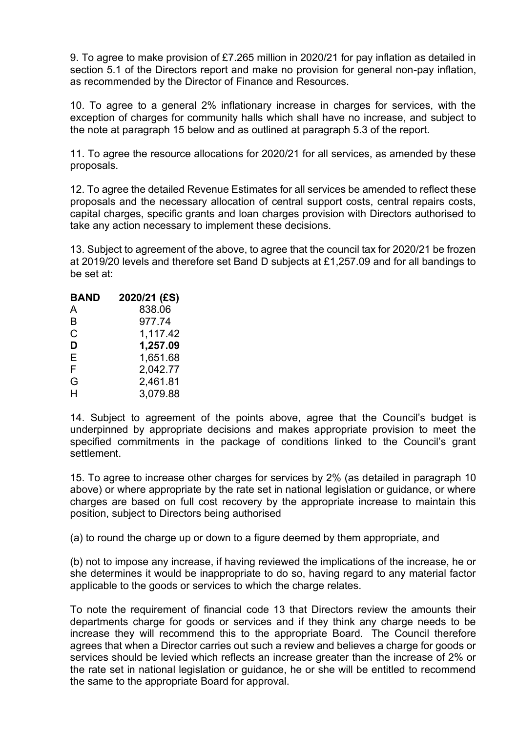9. To agree to make provision of £7.265 million in 2020/21 for pay inflation as detailed in section 5.1 of the Directors report and make no provision for general non-pay inflation, as recommended by the Director of Finance and Resources.

10. To agree to a general 2% inflationary increase in charges for services, with the exception of charges for community halls which shall have no increase, and subject to the note at paragraph 15 below and as outlined at paragraph 5.3 of the report.

11. To agree the resource allocations for 2020/21 for all services, as amended by these proposals.

12. To agree the detailed Revenue Estimates for all services be amended to reflect these proposals and the necessary allocation of central support costs, central repairs costs, capital charges, specific grants and loan charges provision with Directors authorised to take any action necessary to implement these decisions.

13. Subject to agreement of the above, to agree that the council tax for 2020/21 be frozen at 2019/20 levels and therefore set Band D subjects at £1,257.09 and for all bandings to be set at:

| <b>BAND</b> | 2020/21 (£S) |
|-------------|--------------|
| Α           | 838.06       |
| B           | 977.74       |
| C           | 1,117.42     |
| D           | 1,257.09     |
| E           | 1,651.68     |
| F           | 2,042.77     |
| G           | 2,461.81     |
| н           | 3,079.88     |

14. Subject to agreement of the points above, agree that the Council's budget is underpinned by appropriate decisions and makes appropriate provision to meet the specified commitments in the package of conditions linked to the Council's grant settlement.

15. To agree to increase other charges for services by 2% (as detailed in paragraph 10 above) or where appropriate by the rate set in national legislation or guidance, or where charges are based on full cost recovery by the appropriate increase to maintain this position, subject to Directors being authorised

(a) to round the charge up or down to a figure deemed by them appropriate, and

(b) not to impose any increase, if having reviewed the implications of the increase, he or she determines it would be inappropriate to do so, having regard to any material factor applicable to the goods or services to which the charge relates.

To note the requirement of financial code 13 that Directors review the amounts their departments charge for goods or services and if they think any charge needs to be increase they will recommend this to the appropriate Board. The Council therefore agrees that when a Director carries out such a review and believes a charge for goods or services should be levied which reflects an increase greater than the increase of 2% or the rate set in national legislation or guidance, he or she will be entitled to recommend the same to the appropriate Board for approval.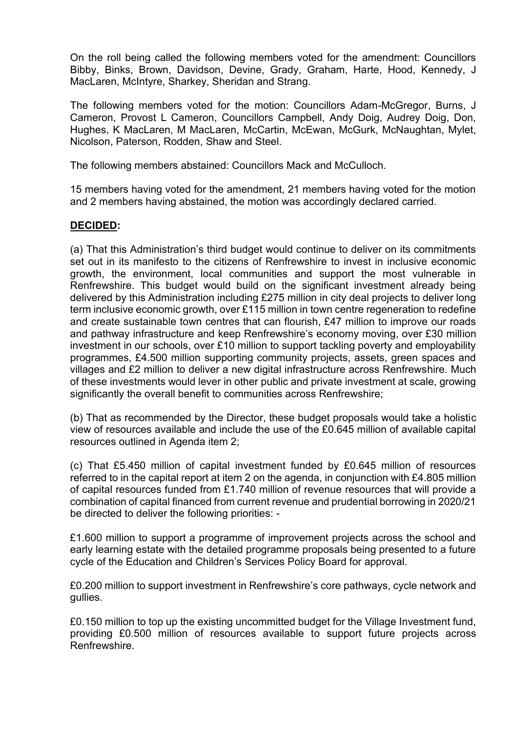On the roll being called the following members voted for the amendment: Councillors Bibby, Binks, Brown, Davidson, Devine, Grady, Graham, Harte, Hood, Kennedy, J MacLaren, McIntyre, Sharkey, Sheridan and Strang.

The following members voted for the motion: Councillors Adam-McGregor, Burns, J Cameron, Provost L Cameron, Councillors Campbell, Andy Doig, Audrey Doig, Don, Hughes, K MacLaren, M MacLaren, McCartin, McEwan, McGurk, McNaughtan, Mylet, Nicolson, Paterson, Rodden, Shaw and Steel.

The following members abstained: Councillors Mack and McCulloch.

15 members having voted for the amendment, 21 members having voted for the motion and 2 members having abstained, the motion was accordingly declared carried.

#### **DECIDED:**

(a) That this Administration's third budget would continue to deliver on its commitments set out in its manifesto to the citizens of Renfrewshire to invest in inclusive economic growth, the environment, local communities and support the most vulnerable in Renfrewshire. This budget would build on the significant investment already being delivered by this Administration including £275 million in city deal projects to deliver long term inclusive economic growth, over £115 million in town centre regeneration to redefine and create sustainable town centres that can flourish, £47 million to improve our roads and pathway infrastructure and keep Renfrewshire's economy moving, over £30 million investment in our schools, over £10 million to support tackling poverty and employability programmes, £4.500 million supporting community projects, assets, green spaces and villages and £2 million to deliver a new digital infrastructure across Renfrewshire. Much of these investments would lever in other public and private investment at scale, growing significantly the overall benefit to communities across Renfrewshire;

(b) That as recommended by the Director, these budget proposals would take a holistic view of resources available and include the use of the £0.645 million of available capital resources outlined in Agenda item 2;

(c) That £5.450 million of capital investment funded by £0.645 million of resources referred to in the capital report at item 2 on the agenda, in conjunction with £4.805 million of capital resources funded from £1.740 million of revenue resources that will provide a combination of capital financed from current revenue and prudential borrowing in 2020/21 be directed to deliver the following priorities: -

£1.600 million to support a programme of improvement projects across the school and early learning estate with the detailed programme proposals being presented to a future cycle of the Education and Children's Services Policy Board for approval.

£0.200 million to support investment in Renfrewshire's core pathways, cycle network and gullies.

£0.150 million to top up the existing uncommitted budget for the Village Investment fund, providing £0.500 million of resources available to support future projects across **Renfrewshire**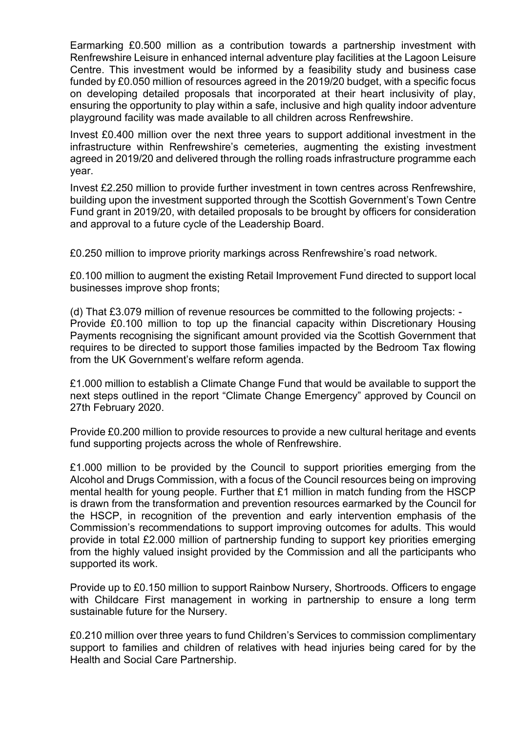Earmarking £0.500 million as a contribution towards a partnership investment with Renfrewshire Leisure in enhanced internal adventure play facilities at the Lagoon Leisure Centre. This investment would be informed by a feasibility study and business case funded by £0.050 million of resources agreed in the 2019/20 budget, with a specific focus on developing detailed proposals that incorporated at their heart inclusivity of play, ensuring the opportunity to play within a safe, inclusive and high quality indoor adventure playground facility was made available to all children across Renfrewshire.

Invest £0.400 million over the next three years to support additional investment in the infrastructure within Renfrewshire's cemeteries, augmenting the existing investment agreed in 2019/20 and delivered through the rolling roads infrastructure programme each year.

Invest £2.250 million to provide further investment in town centres across Renfrewshire, building upon the investment supported through the Scottish Government's Town Centre Fund grant in 2019/20, with detailed proposals to be brought by officers for consideration and approval to a future cycle of the Leadership Board.

£0.250 million to improve priority markings across Renfrewshire's road network.

£0.100 million to augment the existing Retail Improvement Fund directed to support local businesses improve shop fronts;

(d) That £3.079 million of revenue resources be committed to the following projects: - Provide £0.100 million to top up the financial capacity within Discretionary Housing Payments recognising the significant amount provided via the Scottish Government that requires to be directed to support those families impacted by the Bedroom Tax flowing from the UK Government's welfare reform agenda.

£1.000 million to establish a Climate Change Fund that would be available to support the next steps outlined in the report "Climate Change Emergency" approved by Council on 27th February 2020.

Provide £0.200 million to provide resources to provide a new cultural heritage and events fund supporting projects across the whole of Renfrewshire.

£1.000 million to be provided by the Council to support priorities emerging from the Alcohol and Drugs Commission, with a focus of the Council resources being on improving mental health for young people. Further that £1 million in match funding from the HSCP is drawn from the transformation and prevention resources earmarked by the Council for the HSCP, in recognition of the prevention and early intervention emphasis of the Commission's recommendations to support improving outcomes for adults. This would provide in total £2.000 million of partnership funding to support key priorities emerging from the highly valued insight provided by the Commission and all the participants who supported its work.

Provide up to £0.150 million to support Rainbow Nursery, Shortroods. Officers to engage with Childcare First management in working in partnership to ensure a long term sustainable future for the Nursery.

£0.210 million over three years to fund Children's Services to commission complimentary support to families and children of relatives with head injuries being cared for by the Health and Social Care Partnership.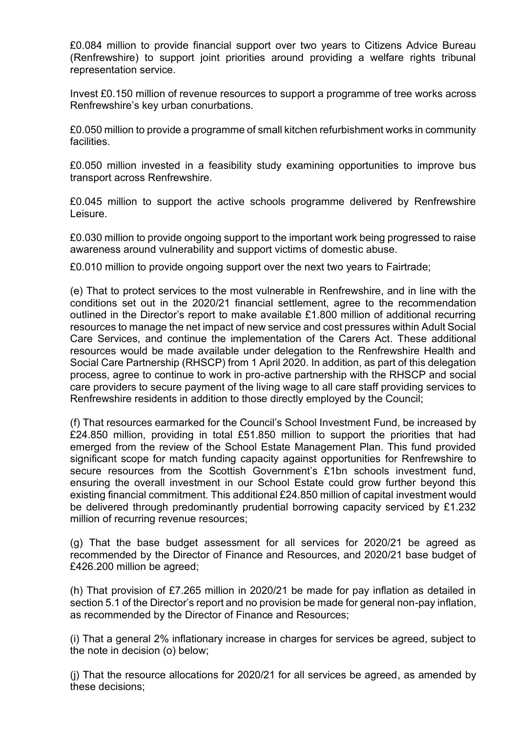£0.084 million to provide financial support over two years to Citizens Advice Bureau (Renfrewshire) to support joint priorities around providing a welfare rights tribunal representation service.

Invest £0.150 million of revenue resources to support a programme of tree works across Renfrewshire's key urban conurbations.

£0.050 million to provide a programme of small kitchen refurbishment works in community **facilities** 

£0.050 million invested in a feasibility study examining opportunities to improve bus transport across Renfrewshire.

£0.045 million to support the active schools programme delivered by Renfrewshire Leisure.

£0.030 million to provide ongoing support to the important work being progressed to raise awareness around vulnerability and support victims of domestic abuse.

£0.010 million to provide ongoing support over the next two years to Fairtrade;

(e) That to protect services to the most vulnerable in Renfrewshire, and in line with the conditions set out in the 2020/21 financial settlement, agree to the recommendation outlined in the Director's report to make available £1.800 million of additional recurring resources to manage the net impact of new service and cost pressures within Adult Social Care Services, and continue the implementation of the Carers Act. These additional resources would be made available under delegation to the Renfrewshire Health and Social Care Partnership (RHSCP) from 1 April 2020. In addition, as part of this delegation process, agree to continue to work in pro-active partnership with the RHSCP and social care providers to secure payment of the living wage to all care staff providing services to Renfrewshire residents in addition to those directly employed by the Council;

(f) That resources earmarked for the Council's School Investment Fund, be increased by £24.850 million, providing in total £51.850 million to support the priorities that had emerged from the review of the School Estate Management Plan. This fund provided significant scope for match funding capacity against opportunities for Renfrewshire to secure resources from the Scottish Government's £1bn schools investment fund, ensuring the overall investment in our School Estate could grow further beyond this existing financial commitment. This additional £24.850 million of capital investment would be delivered through predominantly prudential borrowing capacity serviced by £1.232 million of recurring revenue resources;

(g) That the base budget assessment for all services for 2020/21 be agreed as recommended by the Director of Finance and Resources, and 2020/21 base budget of £426.200 million be agreed;

(h) That provision of £7.265 million in 2020/21 be made for pay inflation as detailed in section 5.1 of the Director's report and no provision be made for general non-pay inflation, as recommended by the Director of Finance and Resources;

(i) That a general 2% inflationary increase in charges for services be agreed, subject to the note in decision (o) below;

(j) That the resource allocations for 2020/21 for all services be agreed, as amended by these decisions;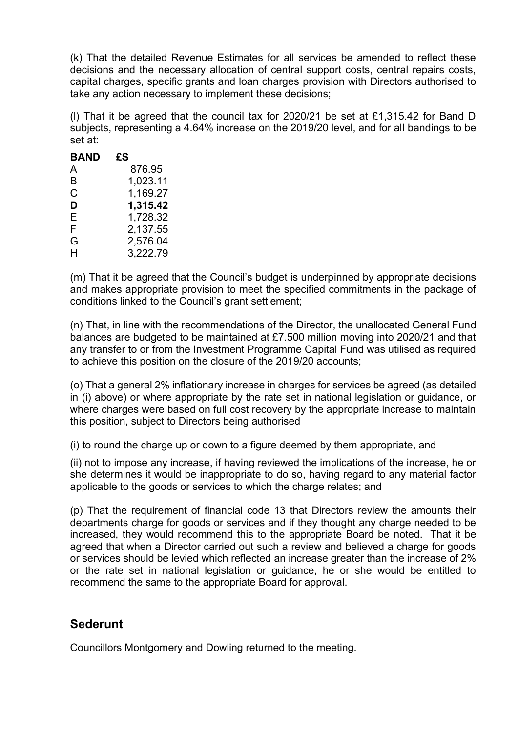(k) That the detailed Revenue Estimates for all services be amended to reflect these decisions and the necessary allocation of central support costs, central repairs costs, capital charges, specific grants and loan charges provision with Directors authorised to take any action necessary to implement these decisions;

(l) That it be agreed that the council tax for 2020/21 be set at £1,315.42 for Band D subjects, representing a 4.64% increase on the 2019/20 level, and for all bandings to be set at:

| BAND | £S       |
|------|----------|
| A    | 876.95   |
| B    | 1,023.11 |
| С    | 1,169.27 |
| D    | 1,315.42 |
| E    | 1,728.32 |
| F    | 2.137.55 |
| G    | 2,576.04 |
| н    | 3,222.79 |

(m) That it be agreed that the Council's budget is underpinned by appropriate decisions and makes appropriate provision to meet the specified commitments in the package of conditions linked to the Council's grant settlement;

(n) That, in line with the recommendations of the Director, the unallocated General Fund balances are budgeted to be maintained at £7.500 million moving into 2020/21 and that any transfer to or from the Investment Programme Capital Fund was utilised as required to achieve this position on the closure of the 2019/20 accounts;

(o) That a general 2% inflationary increase in charges for services be agreed (as detailed in (i) above) or where appropriate by the rate set in national legislation or guidance, or where charges were based on full cost recovery by the appropriate increase to maintain this position, subject to Directors being authorised

(i) to round the charge up or down to a figure deemed by them appropriate, and

(ii) not to impose any increase, if having reviewed the implications of the increase, he or she determines it would be inappropriate to do so, having regard to any material factor applicable to the goods or services to which the charge relates; and

(p) That the requirement of financial code 13 that Directors review the amounts their departments charge for goods or services and if they thought any charge needed to be increased, they would recommend this to the appropriate Board be noted. That it be agreed that when a Director carried out such a review and believed a charge for goods or services should be levied which reflected an increase greater than the increase of 2% or the rate set in national legislation or guidance, he or she would be entitled to recommend the same to the appropriate Board for approval.

# **Sederunt**

Councillors Montgomery and Dowling returned to the meeting.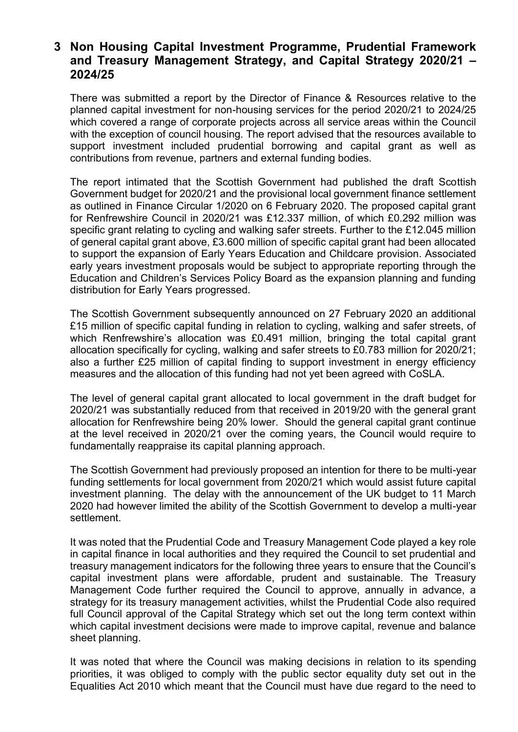### **3 Non Housing Capital Investment Programme, Prudential Framework and Treasury Management Strategy, and Capital Strategy 2020/21 – 2024/25**

There was submitted a report by the Director of Finance & Resources relative to the planned capital investment for non-housing services for the period 2020/21 to 2024/25 which covered a range of corporate projects across all service areas within the Council with the exception of council housing. The report advised that the resources available to support investment included prudential borrowing and capital grant as well as contributions from revenue, partners and external funding bodies.

The report intimated that the Scottish Government had published the draft Scottish Government budget for 2020/21 and the provisional local government finance settlement as outlined in Finance Circular 1/2020 on 6 February 2020. The proposed capital grant for Renfrewshire Council in 2020/21 was £12.337 million, of which £0.292 million was specific grant relating to cycling and walking safer streets. Further to the £12.045 million of general capital grant above, £3.600 million of specific capital grant had been allocated to support the expansion of Early Years Education and Childcare provision. Associated early years investment proposals would be subject to appropriate reporting through the Education and Children's Services Policy Board as the expansion planning and funding distribution for Early Years progressed.

The Scottish Government subsequently announced on 27 February 2020 an additional £15 million of specific capital funding in relation to cycling, walking and safer streets, of which Renfrewshire's allocation was £0.491 million, bringing the total capital grant allocation specifically for cycling, walking and safer streets to £0.783 million for 2020/21; also a further £25 million of capital finding to support investment in energy efficiency measures and the allocation of this funding had not yet been agreed with CoSLA.

The level of general capital grant allocated to local government in the draft budget for 2020/21 was substantially reduced from that received in 2019/20 with the general grant allocation for Renfrewshire being 20% lower. Should the general capital grant continue at the level received in 2020/21 over the coming years, the Council would require to fundamentally reappraise its capital planning approach.

The Scottish Government had previously proposed an intention for there to be multi-year funding settlements for local government from 2020/21 which would assist future capital investment planning. The delay with the announcement of the UK budget to 11 March 2020 had however limited the ability of the Scottish Government to develop a multi-year settlement.

It was noted that the Prudential Code and Treasury Management Code played a key role in capital finance in local authorities and they required the Council to set prudential and treasury management indicators for the following three years to ensure that the Council's capital investment plans were affordable, prudent and sustainable. The Treasury Management Code further required the Council to approve, annually in advance, a strategy for its treasury management activities, whilst the Prudential Code also required full Council approval of the Capital Strategy which set out the long term context within which capital investment decisions were made to improve capital, revenue and balance sheet planning.

It was noted that where the Council was making decisions in relation to its spending priorities, it was obliged to comply with the public sector equality duty set out in the Equalities Act 2010 which meant that the Council must have due regard to the need to